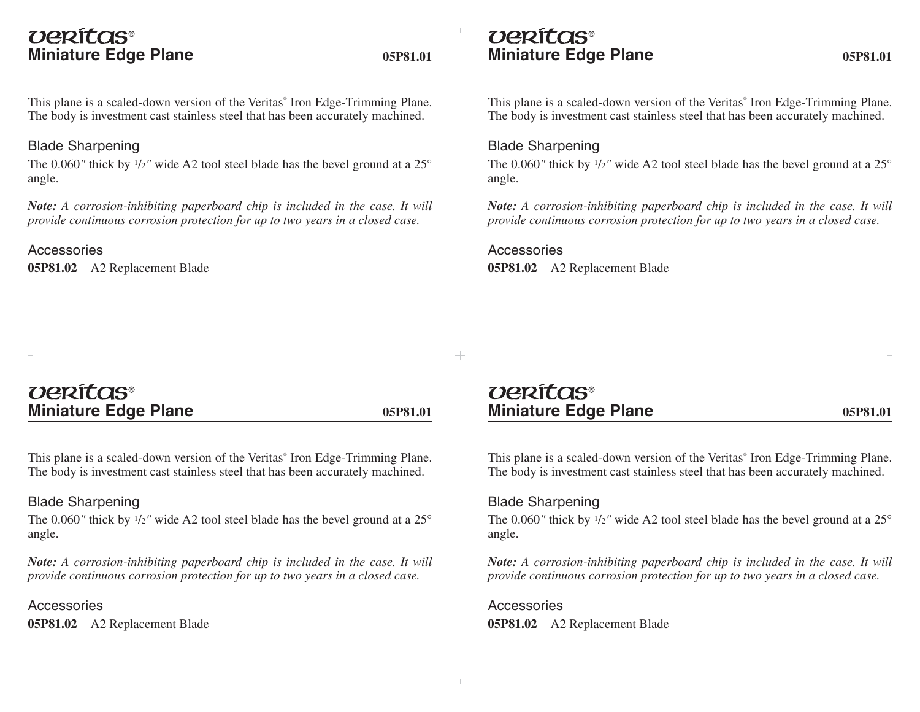## veritas® **Miniature Edge Plane**

This plane is a scaled-down version of the Veritas<sup>®</sup> Iron Edge-Trimming Plane. The body is investment cast stainless steel that has been accurately machined.

## Blade Sharpening

The 0.060" thick by  $\frac{1}{2}$ " wide A2 tool steel blade has the bevel ground at a  $25^{\circ}$ angle.

*Note: A corrosion-inhibiting paperboard chip is included in the case. It will provide continuous corrosion protection for up to two years in a closed case.* 

Accessories**05P81.02** A2 Replacement Blade